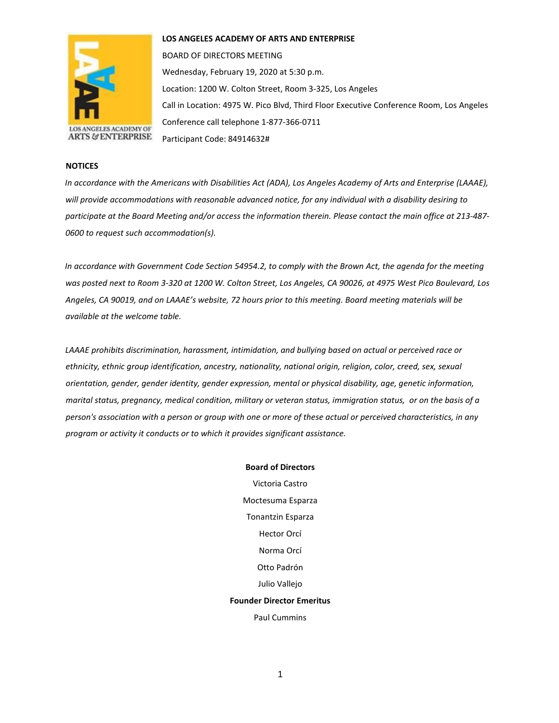

**LOS ANGELES ACADEMY OF ARTS AND ENTERPRISE** 

BOARD OF DIRECTORS MEETING Wednesday, February 19, 2020 at 5:30 p.m. Location: 1200 W. Colton Street, Room 3-325, Los Angeles Call in Location: 4975 W. Pico Blvd, Third Floor Executive Conference Room, Los Angeles Conference call telephone 1-877-366-0711 Participant Code: 84914632#

## **NOTICES**

*In accordance with the Americans with Disabilities Act (ADA), Los Angeles Academy of Arts and Enterprise (LAAAE), will provide accommodations with reasonable advanced notice, for any individual with a disability desiring to participate at the Board Meeting and/or access the information therein. Please contact the main office at 213-487- 0600 to request such accommodation(s).* 

*In accordance with Government Code Section 54954.2, to comply with the Brown Act, the agenda for the meeting was posted next to Room 3-320 at 1200 W. Colton Street, Los Angeles, CA 90026, at 4975 West Pico Boulevard, Los Angeles, CA 90019, and on LAAAE's website, 72 hours prior to this meeting. Board meeting materials will be available at the welcome table.* 

*LAAAE prohibits discrimination, harassment, intimidation, and bullying based on actual or perceived race or ethnicity, ethnic group identification, ancestry, nationality, national origin, religion, color, creed, sex, sexual orientation, gender, gender identity, gender expression, mental or physical disability, age, genetic information, marital status, pregnancy, medical condition, military or veteran status, immigration status, or on the basis of a person's association with a person or group with one or more of these actual or perceived characteristics, in any program or activity it conducts or to which it provides significant assistance.* 

> **Board of Directors** Victoria Castro Moctesuma Esparza Tonantzin Esparza Hector Orcí Norma Orcí Otto Padrón Julio Vallejo **Founder Director Emeritus** Paul Cummins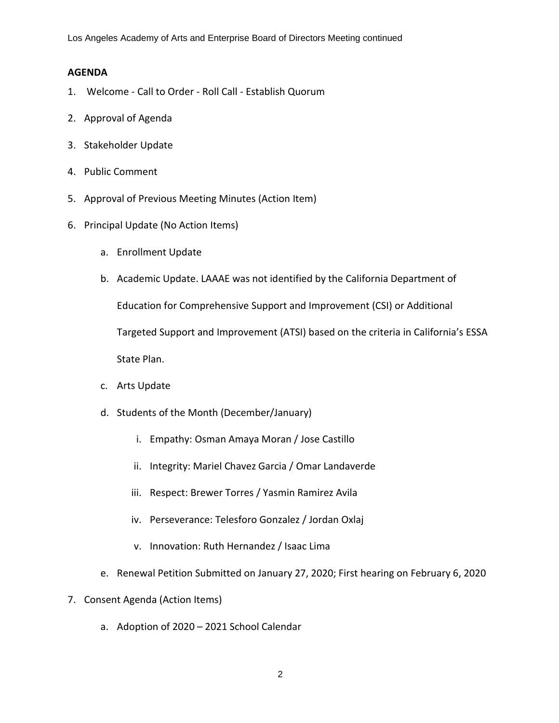Los Angeles Academy of Arts and Enterprise Board of Directors Meeting continued

## **AGENDA**

- 1. Welcome Call to Order Roll Call Establish Quorum
- 2. Approval of Agenda
- 3. Stakeholder Update
- 4. Public Comment
- 5. Approval of Previous Meeting Minutes (Action Item)
- 6. Principal Update (No Action Items)
	- a. Enrollment Update
	- b. Academic Update. LAAAE was not identified by the California Department of

Education for Comprehensive Support and Improvement (CSI) or Additional

Targeted Support and Improvement (ATSI) based on the criteria in California's ESSA

State Plan.

- c. Arts Update
- d. Students of the Month (December/January)
	- i. Empathy: Osman Amaya Moran / Jose Castillo
	- ii. Integrity: Mariel Chavez Garcia / Omar Landaverde
	- iii. Respect: Brewer Torres / Yasmin Ramirez Avila
	- iv. Perseverance: Telesforo Gonzalez / Jordan Oxlaj
	- v. Innovation: Ruth Hernandez / Isaac Lima
- e. Renewal Petition Submitted on January 27, 2020; First hearing on February 6, 2020
- 7. Consent Agenda (Action Items)
	- a. Adoption of 2020 2021 School Calendar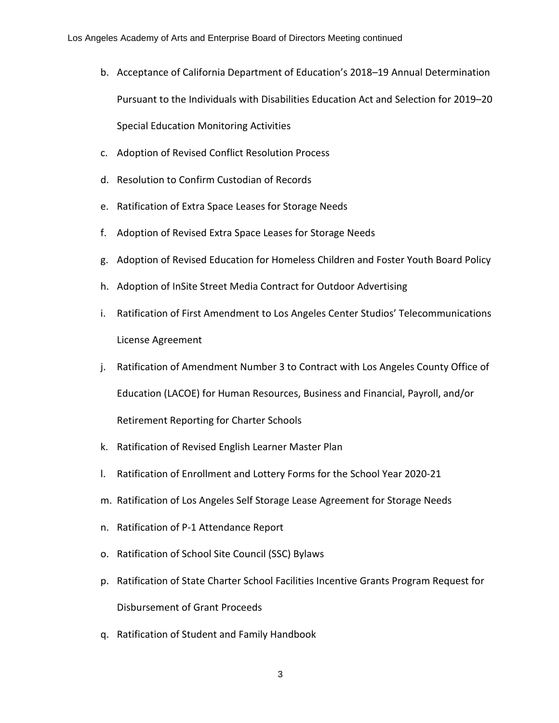- b. Acceptance of California Department of Education's 2018–19 Annual Determination Pursuant to the Individuals with Disabilities Education Act and Selection for 2019–20 Special Education Monitoring Activities
- c. Adoption of Revised Conflict Resolution Process
- d. Resolution to Confirm Custodian of Records
- e. Ratification of Extra Space Leases for Storage Needs
- f. Adoption of Revised Extra Space Leases for Storage Needs
- g. Adoption of Revised Education for Homeless Children and Foster Youth Board Policy
- h. Adoption of InSite Street Media Contract for Outdoor Advertising
- i. Ratification of First Amendment to Los Angeles Center Studios' Telecommunications License Agreement
- j. Ratification of Amendment Number 3 to Contract with Los Angeles County Office of Education (LACOE) for Human Resources, Business and Financial, Payroll, and/or

Retirement Reporting for Charter Schools

- k. Ratification of Revised English Learner Master Plan
- l. Ratification of Enrollment and Lottery Forms for the School Year 2020-21
- m. Ratification of Los Angeles Self Storage Lease Agreement for Storage Needs
- n. Ratification of P-1 Attendance Report
- o. Ratification of School Site Council (SSC) Bylaws
- p. Ratification of State Charter School Facilities Incentive Grants Program Request for Disbursement of Grant Proceeds
- q. Ratification of Student and Family Handbook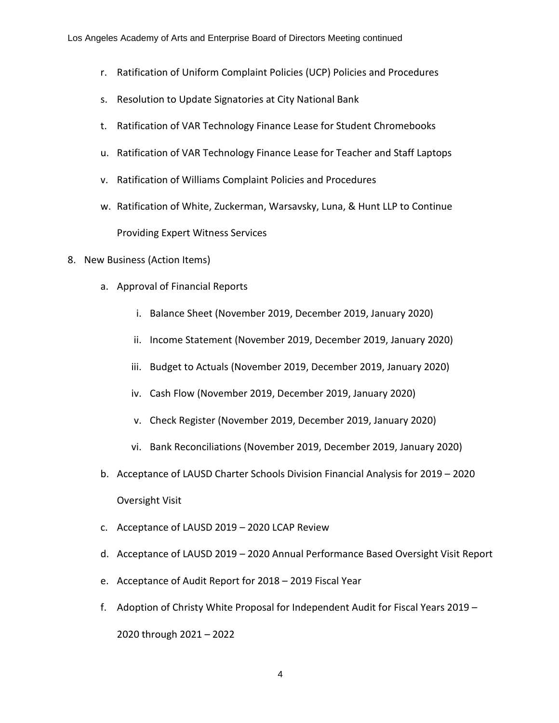- r. Ratification of Uniform Complaint Policies (UCP) Policies and Procedures
- s. Resolution to Update Signatories at City National Bank
- t. Ratification of VAR Technology Finance Lease for Student Chromebooks
- u. Ratification of VAR Technology Finance Lease for Teacher and Staff Laptops
- v. Ratification of Williams Complaint Policies and Procedures
- w. Ratification of White, Zuckerman, Warsavsky, Luna, & Hunt LLP to Continue Providing Expert Witness Services
- 8. New Business (Action Items)
	- a. Approval of Financial Reports
		- i. Balance Sheet (November 2019, December 2019, January 2020)
		- ii. Income Statement (November 2019, December 2019, January 2020)
		- iii. Budget to Actuals (November 2019, December 2019, January 2020)
		- iv. Cash Flow (November 2019, December 2019, January 2020)
		- v. Check Register (November 2019, December 2019, January 2020)
		- vi. Bank Reconciliations (November 2019, December 2019, January 2020)
	- b. Acceptance of LAUSD Charter Schools Division Financial Analysis for 2019 2020 Oversight Visit
	- c. Acceptance of LAUSD 2019 2020 LCAP Review
	- d. Acceptance of LAUSD 2019 2020 Annual Performance Based Oversight Visit Report
	- e. Acceptance of Audit Report for 2018 2019 Fiscal Year
	- f. Adoption of Christy White Proposal for Independent Audit for Fiscal Years 2019 2020 through 2021 – 2022